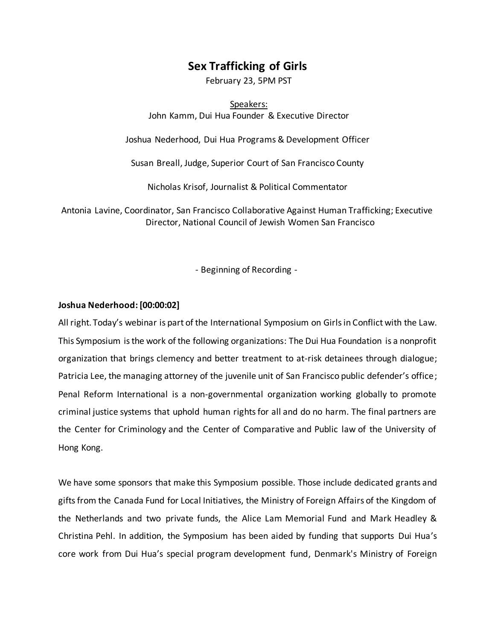# **Sex Trafficking of Girls**

February 23, 5PM PST

Speakers: John Kamm, Dui Hua Founder & Executive Director

Joshua Nederhood, Dui Hua Programs & Development Officer

Susan Breall, Judge, Superior Court of San Francisco County

Nicholas Krisof, Journalist & Political Commentator

Antonia Lavine, Coordinator, San Francisco Collaborative Against Human Trafficking; Executive Director, National Council of Jewish Women San Francisco

- Beginning of Recording -

# **Joshua Nederhood:[00:00:02]**

All right. Today's webinar is part of the International Symposium on Girls in Conflict with the Law. This Symposium is the work of the following organizations: The Dui Hua Foundation is a nonprofit organization that brings clemency and better treatment to at-risk detainees through dialogue; Patricia Lee, the managing attorney of the juvenile unit of San Francisco public defender's office; Penal Reform International is a non-governmental organization working globally to promote criminal justice systems that uphold human rights for all and do no harm. The final partners are the Center for Criminology and the Center of Comparative and Public law of the University of Hong Kong.

We have some sponsors that make this Symposium possible. Those include dedicated grants and gifts from the Canada Fund for Local Initiatives, the Ministry of Foreign Affairs of the Kingdom of the Netherlands and two private funds, the Alice Lam Memorial Fund and Mark Headley & Christina Pehl. In addition, the Symposium has been aided by funding that supports Dui Hua's core work from Dui Hua's special program development fund, Denmark's Ministry of Foreign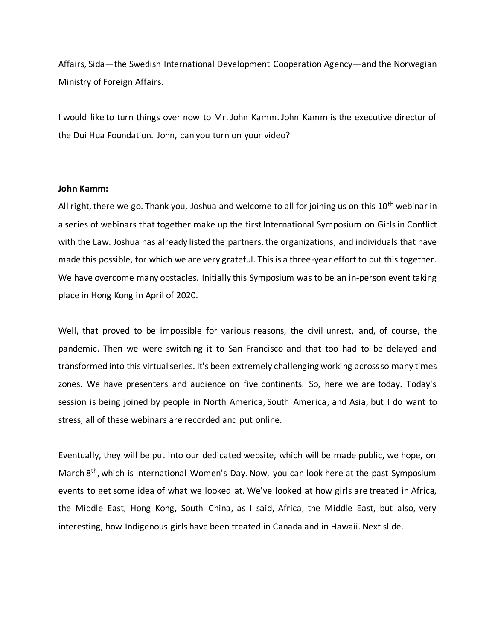Affairs, Sida—the Swedish International Development Cooperation Agency—and the Norwegian Ministry of Foreign Affairs.

I would like to turn things over now to Mr. John Kamm. John Kamm is the executive director of the Dui Hua Foundation. John, can you turn on your video?

### **John Kamm:**

All right, there we go. Thank you, Joshua and welcome to all for joining us on this 10<sup>th</sup> webinar in a series of webinars that together make up the first International Symposium on Girls in Conflict with the Law. Joshua has already listed the partners, the organizations, and individuals that have made this possible, for which we are very grateful. This is a three-year effort to put this together. We have overcome many obstacles. Initially this Symposium was to be an in-person event taking place in Hong Kong in April of 2020.

Well, that proved to be impossible for various reasons, the civil unrest, and, of course, the pandemic. Then we were switching it to San Francisco and that too had to be delayed and transformed into this virtual series. It's been extremely challenging working across so many times zones. We have presenters and audience on five continents. So, here we are today. Today's session is being joined by people in North America, South America, and Asia, but I do want to stress, all of these webinars are recorded and put online.

Eventually, they will be put into our dedicated website, which will be made public, we hope, on March 8<sup>th</sup>, which is International Women's Day. Now, you can look here at the past Symposium events to get some idea of what we looked at. We've looked at how girls are treated in Africa, the Middle East, Hong Kong, South China, as I said, Africa, the Middle East, but also, very interesting, how Indigenous girls have been treated in Canada and in Hawaii. Next slide.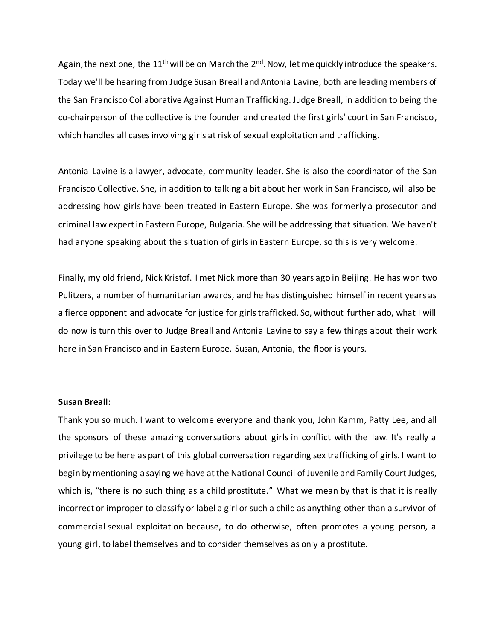Again, the next one, the  $11<sup>th</sup>$  will be on March the  $2<sup>nd</sup>$ . Now, let me quickly introduce the speakers. Today we'll be hearing from Judge Susan Breall and Antonia Lavine, both are leading members of the San Francisco Collaborative Against Human Trafficking. Judge Breall, in addition to being the co-chairperson of the collective is the founder and created the first girls' court in San Francisco, which handles all cases involving girls at risk of sexual exploitation and trafficking.

Antonia Lavine is a lawyer, advocate, community leader. She is also the coordinator of the San Francisco Collective. She, in addition to talking a bit about her work in San Francisco, will also be addressing how girls have been treated in Eastern Europe. She was formerly a prosecutor and criminal law expert in Eastern Europe, Bulgaria. She will be addressing that situation. We haven't had anyone speaking about the situation of girls in Eastern Europe, so this is very welcome.

Finally, my old friend, Nick Kristof. I met Nick more than 30 years ago in Beijing. He has won two Pulitzers, a number of humanitarian awards, and he has distinguished himself in recent years as a fierce opponent and advocate for justice for girls trafficked. So, without further ado, what I will do now is turn this over to Judge Breall and Antonia Lavine to say a few things about their work here in San Francisco and in Eastern Europe. Susan, Antonia, the floor is yours.

#### **Susan Breall:**

Thank you so much. I want to welcome everyone and thank you, John Kamm, Patty Lee, and all the sponsors of these amazing conversations about girls in conflict with the law. It's really a privilege to be here as part of this global conversation regarding sex trafficking of girls. I want to begin by mentioning a saying we have at the National Council of Juvenile and Family Court Judges, which is, "there is no such thing as a child prostitute." What we mean by that is that it is really incorrect or improper to classify or label a girl or such a child as anything other than a survivor of commercial sexual exploitation because, to do otherwise, often promotes a young person, a young girl, to label themselves and to consider themselves as only a prostitute.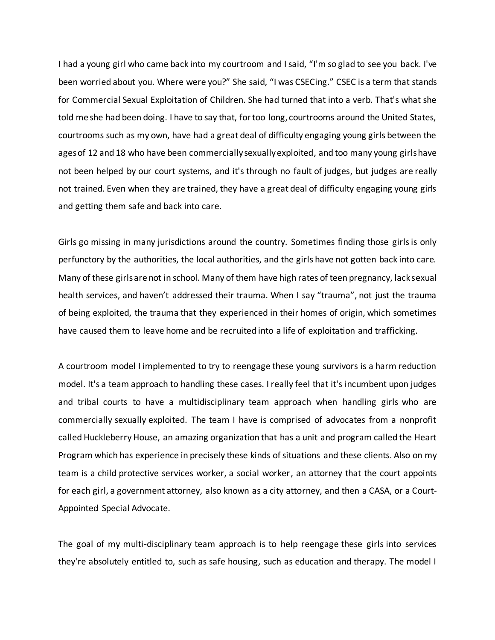I had a young girl who came back into my courtroom and I said, "I'm so glad to see you back. I've been worried about you. Where were you?" She said, "I was CSECing." CSEC is a term that stands for Commercial Sexual Exploitation of Children. She had turned that into a verb. That's what she told me she had been doing. I have to say that, for too long, courtrooms around the United States, courtrooms such as my own, have had a great deal of difficulty engaging young girls between the ages of 12 and 18 who have been commercially sexually exploited, and too many young girls have not been helped by our court systems, and it's through no fault of judges, but judges are really not trained. Even when they are trained, they have a great deal of difficulty engaging young girls and getting them safe and back into care.

Girls go missing in many jurisdictions around the country. Sometimes finding those girls is only perfunctory by the authorities, the local authorities, and the girls have not gotten back into care. Many of these girls are not in school. Many of them have high rates of teen pregnancy, lack sexual health services, and haven't addressed their trauma. When I say "trauma", not just the trauma of being exploited, the trauma that they experienced in their homes of origin, which sometimes have caused them to leave home and be recruited into a life of exploitation and trafficking.

A courtroom model I implemented to try to reengage these young survivors is a harm reduction model. It's a team approach to handling these cases. I really feel that it's incumbent upon judges and tribal courts to have a multidisciplinary team approach when handling girls who are commercially sexually exploited. The team I have is comprised of advocates from a nonprofit called Huckleberry House, an amazing organization that has a unit and program called the Heart Program which has experience in precisely these kinds of situations and these clients. Also on my team is a child protective services worker, a social worker, an attorney that the court appoints for each girl, a government attorney, also known as a city attorney, and then a CASA, or a Court-Appointed Special Advocate.

The goal of my multi-disciplinary team approach is to help reengage these girls into services they're absolutely entitled to, such as safe housing, such as education and therapy. The model I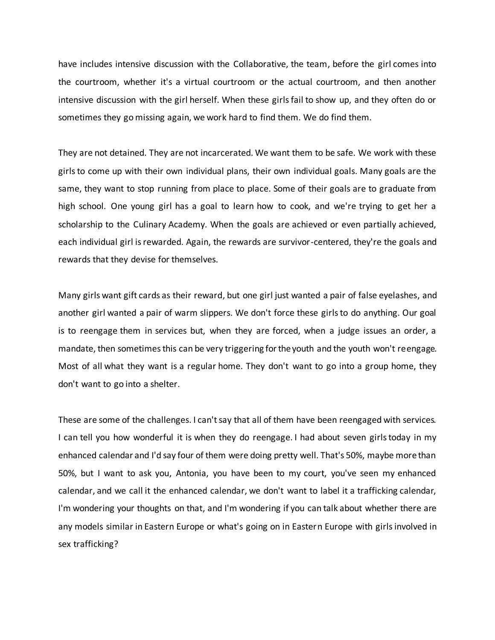have includes intensive discussion with the Collaborative, the team, before the girl comes into the courtroom, whether it's a virtual courtroom or the actual courtroom, and then another intensive discussion with the girl herself. When these girls fail to show up, and they often do or sometimes they go missing again, we work hard to find them. We do find them.

They are not detained. They are not incarcerated. We want them to be safe. We work with these girls to come up with their own individual plans, their own individual goals. Many goals are the same, they want to stop running from place to place. Some of their goals are to graduate from high school. One young girl has a goal to learn how to cook, and we're trying to get her a scholarship to the Culinary Academy. When the goals are achieved or even partially achieved, each individual girl is rewarded. Again, the rewards are survivor-centered, they're the goals and rewards that they devise for themselves.

Many girls want gift cards as their reward, but one girl just wanted a pair of false eyelashes, and another girl wanted a pair of warm slippers. We don't force these girls to do anything. Our goal is to reengage them in services but, when they are forced, when a judge issues an order, a mandate, then sometimes this can be very triggering for the youth and the youth won't reengage. Most of all what they want is a regular home. They don't want to go into a group home, they don't want to go into a shelter.

These are some of the challenges. I can't say that all of them have been reengaged with services. I can tell you how wonderful it is when they do reengage. I had about seven girls today in my enhanced calendar and I'd say four of them were doing pretty well. That's 50%, maybe more than 50%, but I want to ask you, Antonia, you have been to my court, you've seen my enhanced calendar, and we call it the enhanced calendar, we don't want to label it a trafficking calendar, I'm wondering your thoughts on that, and I'm wondering if you can talk about whether there are any models similar in Eastern Europe or what's going on in Eastern Europe with girls involved in sex trafficking?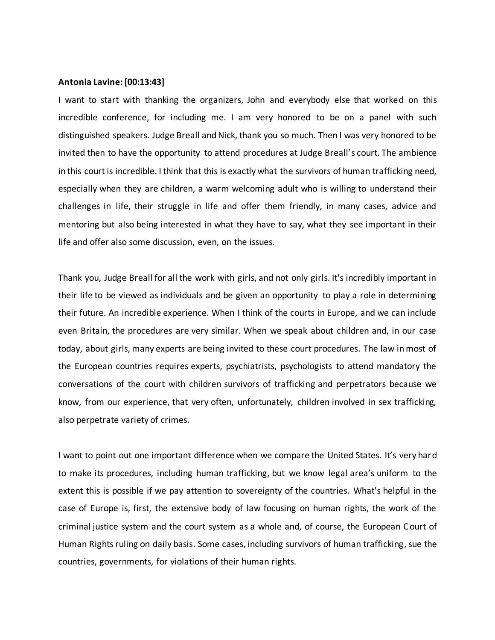#### **Antonia Lavine: [00:13:43]**

I want to start with thanking the organizers, John and everybody else that worked on this incredible conference, for including me. I am very honored to be on a panel with such distinguished speakers. Judge Breall and Nick, thank you so much. Then I was very honored to be invited then to have the opportunity to attend procedures at Judge Breall's court. The ambience in this court is incredible. I think that this is exactly what the survivors of human trafficking need, especially when they are children, a warm welcoming adult who is willing to understand their challenges in life, their struggle in life and offer them friendly, in many cases, advice and mentoring but also being interested in what they have to say, what they see important in their life and offer also some discussion, even, on the issues.

Thank you, Judge Breall for all the work with girls, and not only girls. It's incredibly important in their life to be viewed as individuals and be given an opportunity to play a role in determining their future. An incredible experience. When I think of the courts in Europe, and we can include even Britain, the procedures are very similar. When we speak about children and, in our case today, about girls, many experts are being invited to these court procedures. The law in most of the European countries requires experts, psychiatrists, psychologists to attend mandatory the conversations of the court with children survivors of trafficking and perpetrators because we know, from our experience, that very often, unfortunately, children involved in sex trafficking, also perpetrate variety of crimes.

I want to point out one important difference when we compare the United States. It's very hard to make its procedures, including human trafficking, but we know legal area's uniform to the extent this is possible if we pay attention to sovereignty of the countries. What's helpful in the case of Europe is, first, the extensive body of law focusing on human rights, the work of the criminal justice system and the court system as a whole and, of course, the European Court of Human Rights ruling on daily basis. Some cases, including survivors of human trafficking, sue the countries, governments, for violations of their human rights.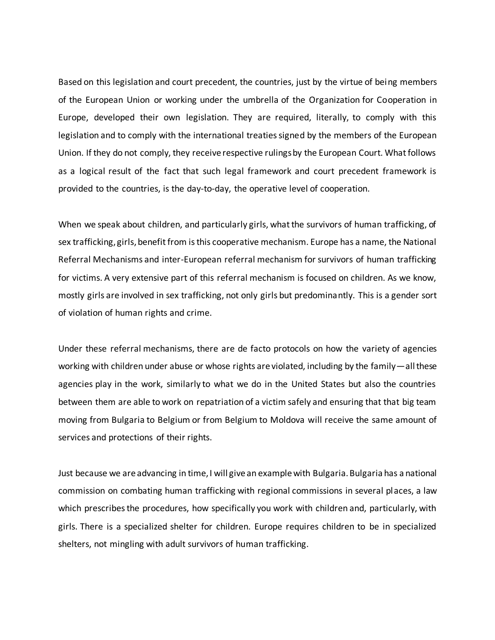Based on this legislation and court precedent, the countries, just by the virtue of being members of the European Union or working under the umbrella of the Organization for Cooperation in Europe, developed their own legislation. They are required, literally, to comply with this legislation and to comply with the international treaties signed by the members of the European Union. If they do not comply, they receive respective rulings by the European Court. What follows as a logical result of the fact that such legal framework and court precedent framework is provided to the countries, is the day-to-day, the operative level of cooperation.

When we speak about children, and particularly girls, what the survivors of human trafficking, of sex trafficking, girls, benefit from is this cooperative mechanism. Europe has a name, the National Referral Mechanisms and inter-European referral mechanism for survivors of human trafficking for victims. A very extensive part of this referral mechanism is focused on children. As we know, mostly girls are involved in sex trafficking, not only girls but predominantly. This is a gender sort of violation of human rights and crime.

Under these referral mechanisms, there are de facto protocols on how the variety of agencies working with children under abuse or whose rights are violated, including by the family—all these agencies play in the work, similarly to what we do in the United States but also the countries between them are able to work on repatriation of a victim safely and ensuring that that big team moving from Bulgaria to Belgium or from Belgium to Moldova will receive the same amount of services and protections of their rights.

Just because we are advancing in time, I will give an example with Bulgaria. Bulgaria has a national commission on combating human trafficking with regional commissions in several places, a law which prescribes the procedures, how specifically you work with children and, particularly, with girls. There is a specialized shelter for children. Europe requires children to be in specialized shelters, not mingling with adult survivors of human trafficking.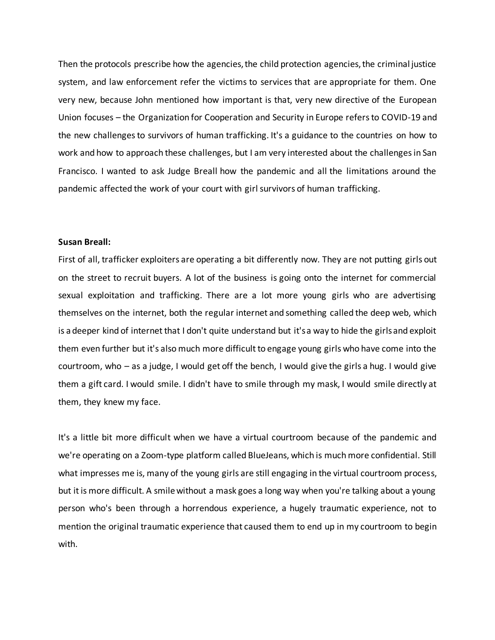Then the protocols prescribe how the agencies, the child protection agencies, the criminal justice system, and law enforcement refer the victims to services that are appropriate for them. One very new, because John mentioned how important is that, very new directive of the European Union focuses – the Organization for Cooperation and Security in Europe refers to COVID-19 and the new challenges to survivors of human trafficking. It's a guidance to the countries on how to work and how to approach these challenges, but I am very interested about the challenges in San Francisco. I wanted to ask Judge Breall how the pandemic and all the limitations around the pandemic affected the work of your court with girl survivors of human trafficking.

### **Susan Breall:**

First of all, trafficker exploiters are operating a bit differently now. They are not putting girls out on the street to recruit buyers. A lot of the business is going onto the internet for commercial sexual exploitation and trafficking. There are a lot more young girls who are advertising themselves on the internet, both the regular internet and something called the deep web, which is a deeper kind of internet that I don't quite understand but it's a way to hide the girls and exploit them even further but it's also much more difficult to engage young girls who have come into the courtroom, who – as a judge, I would get off the bench, I would give the girls a hug. I would give them a gift card. I would smile. I didn't have to smile through my mask, I would smile directly at them, they knew my face.

It's a little bit more difficult when we have a virtual courtroom because of the pandemic and we're operating on a Zoom-type platform called BlueJeans, which is much more confidential. Still what impresses me is, many of the young girls are still engaging in the virtual courtroom process, but it is more difficult. A smile without a mask goes a long way when you're talking about a young person who's been through a horrendous experience, a hugely traumatic experience, not to mention the original traumatic experience that caused them to end up in my courtroom to begin with.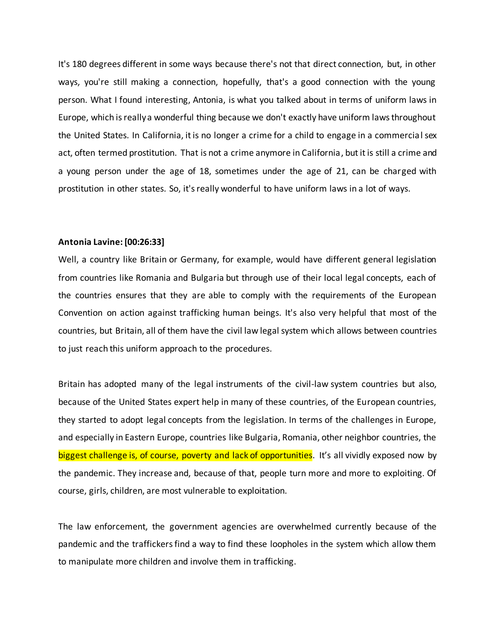It's 180 degrees different in some ways because there's not that direct connection, but, in other ways, you're still making a connection, hopefully, that's a good connection with the young person. What I found interesting, Antonia, is what you talked about in terms of uniform laws in Europe, which is really a wonderful thing because we don't exactly have uniform laws throughout the United States. In California, it is no longer a crime for a child to engage in a commercial sex act, often termed prostitution. That is not a crime anymore in California, but it is still a crime and a young person under the age of 18, sometimes under the age of 21, can be charged with prostitution in other states. So, it's really wonderful to have uniform laws in a lot of ways.

# **Antonia Lavine: [00:26:33]**

Well, a country like Britain or Germany, for example, would have different general legislation from countries like Romania and Bulgaria but through use of their local legal concepts, each of the countries ensures that they are able to comply with the requirements of the European Convention on action against trafficking human beings. It's also very helpful that most of the countries, but Britain, all of them have the civil law legal system which allows between countries to just reach this uniform approach to the procedures.

Britain has adopted many of the legal instruments of the civil-law system countries but also, because of the United States expert help in many of these countries, of the European countries, they started to adopt legal concepts from the legislation. In terms of the challenges in Europe, and especially in Eastern Europe, countries like Bulgaria, Romania, other neighbor countries, the biggest challenge is, of course, poverty and lack of opportunities. It's all vividly exposed now by the pandemic. They increase and, because of that, people turn more and more to exploiting. Of course, girls, children, are most vulnerable to exploitation.

The law enforcement, the government agencies are overwhelmed currently because of the pandemic and the traffickers find a way to find these loopholes in the system which allow them to manipulate more children and involve them in trafficking.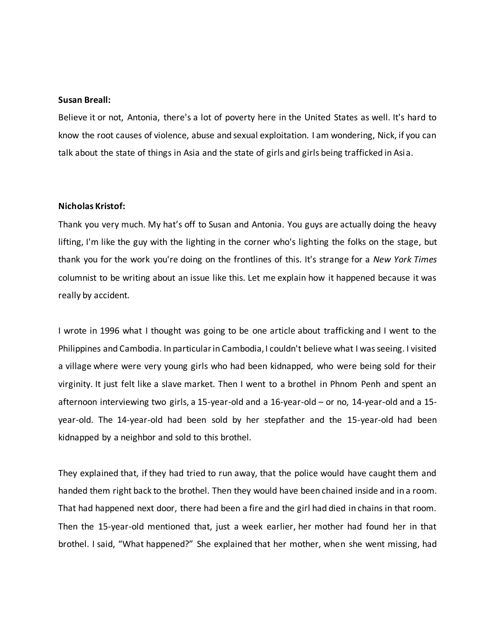#### **Susan Breall:**

Believe it or not, Antonia, there's a lot of poverty here in the United States as well. It's hard to know the root causes of violence, abuse and sexual exploitation. I am wondering, Nick, if you can talk about the state of things in Asia and the state of girls and girls being trafficked in Asia.

### **Nicholas Kristof:**

Thank you very much. My hat's off to Susan and Antonia. You guys are actually doing the heavy lifting, I'm like the guy with the lighting in the corner who's lighting the folks on the stage, but thank you for the work you're doing on the frontlines of this. It's strange for a *New York Times* columnist to be writing about an issue like this. Let me explain how it happened because it was really by accident.

I wrote in 1996 what I thought was going to be one article about trafficking and I went to the Philippines and Cambodia. In particular in Cambodia, I couldn't believe what I was seeing. I visited a village where were very young girls who had been kidnapped, who were being sold for their virginity. It just felt like a slave market. Then I went to a brothel in Phnom Penh and spent an afternoon interviewing two girls, a 15-year-old and a 16-year-old – or no, 14-year-old and a 15 year-old. The 14-year-old had been sold by her stepfather and the 15-year-old had been kidnapped by a neighbor and sold to this brothel.

They explained that, if they had tried to run away, that the police would have caught them and handed them right back to the brothel. Then they would have been chained inside and in a room. That had happened next door, there had been a fire and the girl had died in chains in that room. Then the 15-year-old mentioned that, just a week earlier, her mother had found her in that brothel. I said, "What happened?" She explained that her mother, when she went missing, had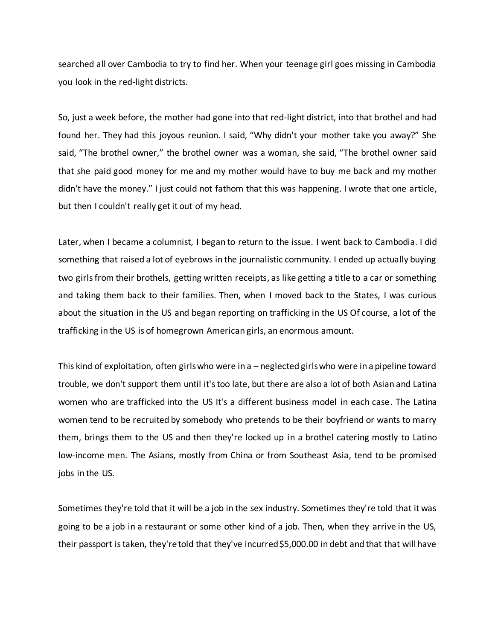searched all over Cambodia to try to find her. When your teenage girl goes missing in Cambodia you look in the red-light districts.

So, just a week before, the mother had gone into that red-light district, into that brothel and had found her. They had this joyous reunion. I said, "Why didn't your mother take you away?" She said, "The brothel owner," the brothel owner was a woman, she said, "The brothel owner said that she paid good money for me and my mother would have to buy me back and my mother didn't have the money." I just could not fathom that this was happening. I wrote that one article, but then I couldn't really get it out of my head.

Later, when I became a columnist, I began to return to the issue. I went back to Cambodia. I did something that raised a lot of eyebrows in the journalistic community. I ended up actually buying two girls from their brothels, getting written receipts, as like getting a title to a car or something and taking them back to their families. Then, when I moved back to the States, I was curious about the situation in the US and began reporting on trafficking in the US Of course, a lot of the trafficking in the US is of homegrown American girls, an enormous amount.

This kind of exploitation, often girls who were in a – neglected girls who were in a pipeline toward trouble, we don't support them until it's too late, but there are also a lot of both Asian and Latina women who are trafficked into the US It's a different business model in each case. The Latina women tend to be recruited by somebody who pretends to be their boyfriend or wants to marry them, brings them to the US and then they're locked up in a brothel catering mostly to Latino low-income men. The Asians, mostly from China or from Southeast Asia, tend to be promised jobs in the US.

Sometimes they're told that it will be a job in the sex industry. Sometimes they're told that it was going to be a job in a restaurant or some other kind of a job. Then, when they arrive in the US, their passport is taken, they're told that they've incurred \$5,000.00 in debt and that that will have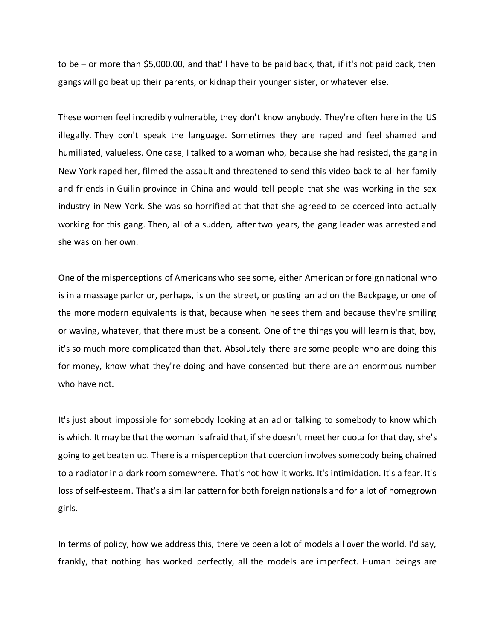to be – or more than \$5,000.00, and that'll have to be paid back, that, if it's not paid back, then gangs will go beat up their parents, or kidnap their younger sister, or whatever else.

These women feel incredibly vulnerable, they don't know anybody. They're often here in the US illegally. They don't speak the language. Sometimes they are raped and feel shamed and humiliated, valueless. One case, I talked to a woman who, because she had resisted, the gang in New York raped her, filmed the assault and threatened to send this video back to all her family and friends in Guilin province in China and would tell people that she was working in the sex industry in New York. She was so horrified at that that she agreed to be coerced into actually working for this gang. Then, all of a sudden, after two years, the gang leader was arrested and she was on her own.

One of the misperceptions of Americans who see some, either American or foreign national who is in a massage parlor or, perhaps, is on the street, or posting an ad on the Backpage, or one of the more modern equivalents is that, because when he sees them and because they're smiling or waving, whatever, that there must be a consent. One of the things you will learn is that, boy, it's so much more complicated than that. Absolutely there are some people who are doing this for money, know what they're doing and have consented but there are an enormous number who have not.

It's just about impossible for somebody looking at an ad or talking to somebody to know which is which. It may be that the woman is afraid that, if she doesn't meet her quota for that day, she's going to get beaten up. There is a misperception that coercion involves somebody being chained to a radiator in a dark room somewhere. That's not how it works. It's intimidation. It's a fear. It's loss of self-esteem. That's a similar pattern for both foreign nationals and for a lot of homegrown girls.

In terms of policy, how we address this, there've been a lot of models all over the world. I'd say, frankly, that nothing has worked perfectly, all the models are imperfect. Human beings are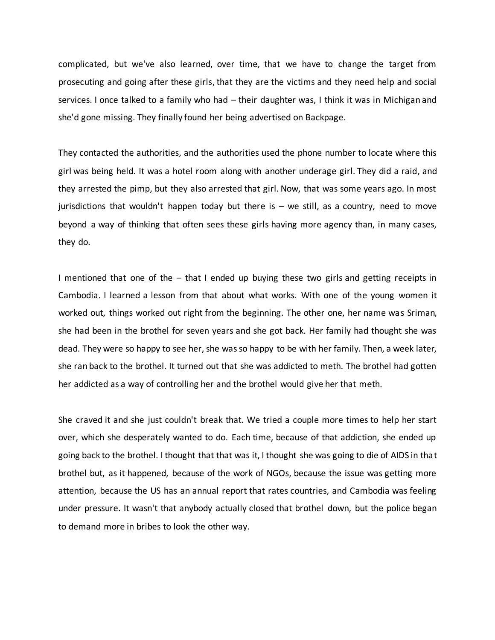complicated, but we've also learned, over time, that we have to change the target from prosecuting and going after these girls, that they are the victims and they need help and social services. I once talked to a family who had – their daughter was, I think it was in Michigan and she'd gone missing. They finally found her being advertised on Backpage.

They contacted the authorities, and the authorities used the phone number to locate where this girl was being held. It was a hotel room along with another underage girl. They did a raid, and they arrested the pimp, but they also arrested that girl. Now, that was some years ago. In most jurisdictions that wouldn't happen today but there is  $-$  we still, as a country, need to move beyond a way of thinking that often sees these girls having more agency than, in many cases, they do.

I mentioned that one of the – that I ended up buying these two girls and getting receipts in Cambodia. I learned a lesson from that about what works. With one of the young women it worked out, things worked out right from the beginning. The other one, her name was Sriman, she had been in the brothel for seven years and she got back. Her family had thought she was dead. They were so happy to see her, she was so happy to be with her family. Then, a week later, she ran back to the brothel. It turned out that she was addicted to meth. The brothel had gotten her addicted as a way of controlling her and the brothel would give her that meth.

She craved it and she just couldn't break that. We tried a couple more times to help her start over, which she desperately wanted to do. Each time, because of that addiction, she ended up going back to the brothel. I thought that that was it, I thought she was going to die of AIDS in that brothel but, as it happened, because of the work of NGOs, because the issue was getting more attention, because the US has an annual report that rates countries, and Cambodia was feeling under pressure. It wasn't that anybody actually closed that brothel down, but the police began to demand more in bribes to look the other way.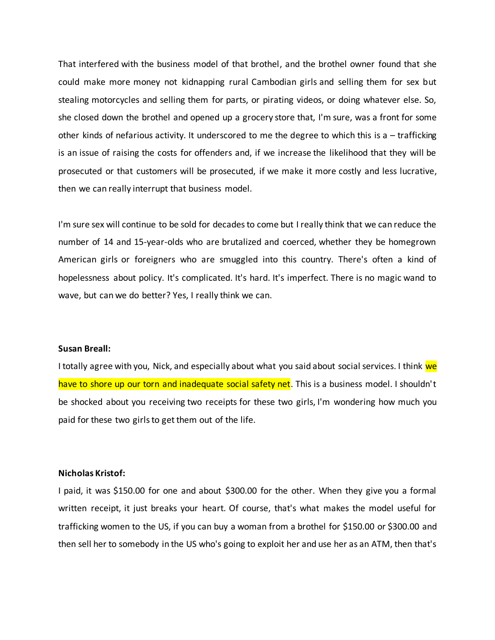That interfered with the business model of that brothel, and the brothel owner found that she could make more money not kidnapping rural Cambodian girls and selling them for sex but stealing motorcycles and selling them for parts, or pirating videos, or doing whatever else. So, she closed down the brothel and opened up a grocery store that, I'm sure, was a front for some other kinds of nefarious activity. It underscored to me the degree to which this is a – trafficking is an issue of raising the costs for offenders and, if we increase the likelihood that they will be prosecuted or that customers will be prosecuted, if we make it more costly and less lucrative, then we can really interrupt that business model.

I'm sure sex will continue to be sold for decades to come but I really think that we can reduce the number of 14 and 15-year-olds who are brutalized and coerced, whether they be homegrown American girls or foreigners who are smuggled into this country. There's often a kind of hopelessness about policy. It's complicated. It's hard. It's imperfect. There is no magic wand to wave, but can we do better? Yes, I really think we can.

### **Susan Breall:**

I totally agree with you, Nick, and especially about what you said about social services. I think we have to shore up our torn and inadequate social safety net. This is a business model. I shouldn't be shocked about you receiving two receipts for these two girls, I'm wondering how much you paid for these two girls to get them out of the life.

#### **Nicholas Kristof:**

I paid, it was \$150.00 for one and about \$300.00 for the other. When they give you a formal written receipt, it just breaks your heart. Of course, that's what makes the model useful for trafficking women to the US, if you can buy a woman from a brothel for \$150.00 or \$300.00 and then sell her to somebody in the US who's going to exploit her and use her as an ATM, then that's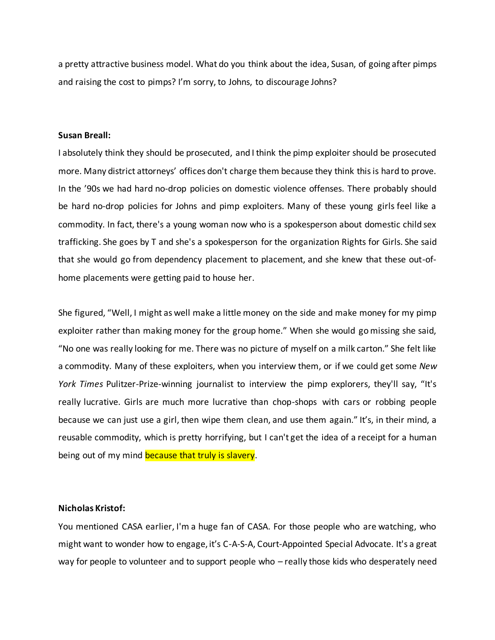a pretty attractive business model. What do you think about the idea, Susan, of going after pimps and raising the cost to pimps? I'm sorry, to Johns, to discourage Johns?

### **Susan Breall:**

I absolutely think they should be prosecuted, and I think the pimp exploiter should be prosecuted more. Many district attorneys' offices don't charge them because they think this is hard to prove. In the '90s we had hard no-drop policies on domestic violence offenses. There probably should be hard no-drop policies for Johns and pimp exploiters. Many of these young girls feel like a commodity. In fact, there's a young woman now who is a spokesperson about domestic child sex trafficking. She goes by T and she's a spokesperson for the organization Rights for Girls. She said that she would go from dependency placement to placement, and she knew that these out-ofhome placements were getting paid to house her.

She figured, "Well, I might as well make a little money on the side and make money for my pimp exploiter rather than making money for the group home." When she would go missing she said, "No one was really looking for me. There was no picture of myself on a milk carton." She felt like a commodity. Many of these exploiters, when you interview them, or if we could get some *New York Times* Pulitzer-Prize-winning journalist to interview the pimp explorers, they'll say, "It's really lucrative. Girls are much more lucrative than chop-shops with cars or robbing people because we can just use a girl, then wipe them clean, and use them again." It's, in their mind, a reusable commodity, which is pretty horrifying, but I can't get the idea of a receipt for a human being out of my mind because that truly is slavery.

### **Nicholas Kristof:**

You mentioned CASA earlier, I'm a huge fan of CASA. For those people who are watching, who might want to wonder how to engage, it's C-A-S-A, Court-Appointed Special Advocate. It's a great way for people to volunteer and to support people who – really those kids who desperately need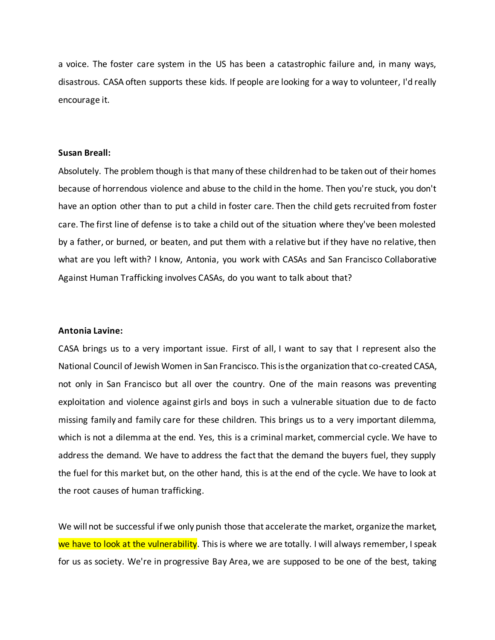a voice. The foster care system in the US has been a catastrophic failure and, in many ways, disastrous. CASA often supports these kids. If people are looking for a way to volunteer, I'd really encourage it.

### **Susan Breall:**

Absolutely. The problem though isthat many of these children had to be taken out of their homes because of horrendous violence and abuse to the child in the home. Then you're stuck, you don't have an option other than to put a child in foster care. Then the child gets recruited from foster care. The first line of defense is to take a child out of the situation where they've been molested by a father, or burned, or beaten, and put them with a relative but if they have no relative, then what are you left with? I know, Antonia, you work with CASAs and San Francisco Collaborative Against Human Trafficking involves CASAs, do you want to talk about that?

### **Antonia Lavine:**

CASA brings us to a very important issue. First of all, I want to say that I represent also the National Council of Jewish Women in San Francisco. This is the organization that co-created CASA, not only in San Francisco but all over the country. One of the main reasons was preventing exploitation and violence against girls and boys in such a vulnerable situation due to de facto missing family and family care for these children. This brings us to a very important dilemma, which is not a dilemma at the end. Yes, this is a criminal market, commercial cycle. We have to address the demand. We have to address the fact that the demand the buyers fuel, they supply the fuel for this market but, on the other hand, this is at the end of the cycle. We have to look at the root causes of human trafficking.

We will not be successful if we only punish those that accelerate the market, organize the market, we have to look at the vulnerability. This is where we are totally. I will always remember, I speak for us as society. We're in progressive Bay Area, we are supposed to be one of the best, taking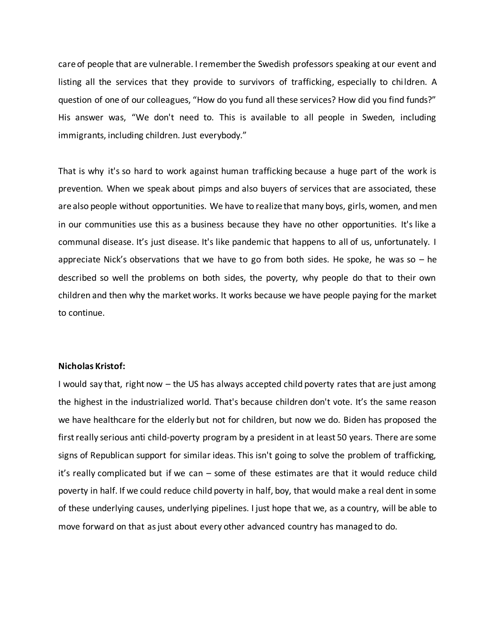care of people that are vulnerable. I remember the Swedish professors speaking at our event and listing all the services that they provide to survivors of trafficking, especially to children. A question of one of our colleagues, "How do you fund all these services? How did you find funds?" His answer was, "We don't need to. This is available to all people in Sweden, including immigrants, including children. Just everybody."

That is why it's so hard to work against human trafficking because a huge part of the work is prevention. When we speak about pimps and also buyers of services that are associated, these are also people without opportunities. We have to realize that many boys, girls, women, and men in our communities use this as a business because they have no other opportunities. It's like a communal disease. It's just disease. It's like pandemic that happens to all of us, unfortunately. I appreciate Nick's observations that we have to go from both sides. He spoke, he was so  $-$  he described so well the problems on both sides, the poverty, why people do that to their own children and then why the market works. It works because we have people paying for the market to continue.

### **Nicholas Kristof:**

I would say that, right now – the US has always accepted child poverty rates that are just among the highest in the industrialized world. That's because children don't vote. It's the same reason we have healthcare for the elderly but not for children, but now we do. Biden has proposed the first really serious anti child-poverty program by a president in at least 50 years. There are some signs of Republican support for similar ideas. This isn't going to solve the problem of trafficking, it's really complicated but if we can – some of these estimates are that it would reduce child poverty in half. If we could reduce child poverty in half, boy, that would make a real dent in some of these underlying causes, underlying pipelines. I just hope that we, as a country, will be able to move forward on that as just about every other advanced country has managed to do.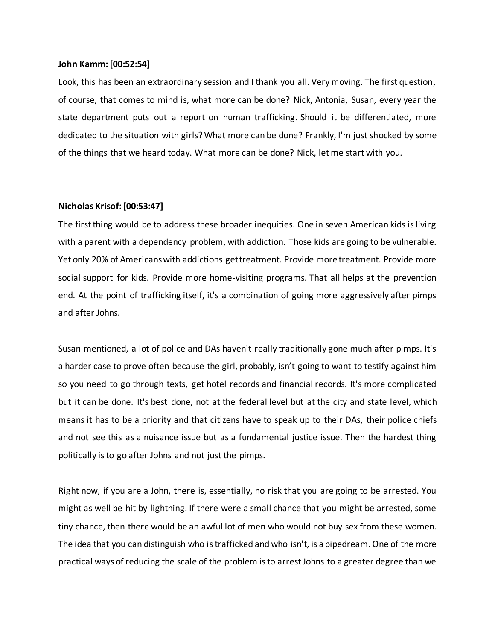#### **John Kamm: [00:52:54]**

Look, this has been an extraordinary session and I thank you all. Very moving. The first question, of course, that comes to mind is, what more can be done? Nick, Antonia, Susan, every year the state department puts out a report on human trafficking. Should it be differentiated, more dedicated to the situation with girls? What more can be done? Frankly, I'm just shocked by some of the things that we heard today. What more can be done? Nick, let me start with you.

### **Nicholas Krisof:[00:53:47]**

The first thing would be to address these broader inequities. One in seven American kids is living with a parent with a dependency problem, with addiction. Those kids are going to be vulnerable. Yet only 20% of Americans with addictions get treatment. Provide more treatment. Provide more social support for kids. Provide more home-visiting programs. That all helps at the prevention end. At the point of trafficking itself, it's a combination of going more aggressively after pimps and after Johns.

Susan mentioned, a lot of police and DAs haven't really traditionally gone much after pimps. It's a harder case to prove often because the girl, probably, isn't going to want to testify against him so you need to go through texts, get hotel records and financial records. It's more complicated but it can be done. It's best done, not at the federal level but at the city and state level, which means it has to be a priority and that citizens have to speak up to their DAs, their police chiefs and not see this as a nuisance issue but as a fundamental justice issue. Then the hardest thing politically is to go after Johns and not just the pimps.

Right now, if you are a John, there is, essentially, no risk that you are going to be arrested. You might as well be hit by lightning. If there were a small chance that you might be arrested, some tiny chance, then there would be an awful lot of men who would not buy sex from these women. The idea that you can distinguish who is trafficked and who isn't, is a pipedream. One of the more practical ways of reducing the scale of the problem is to arrest Johns to a greater degree than we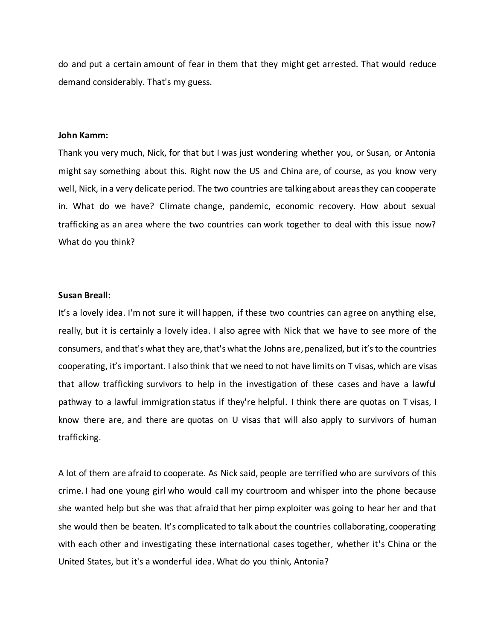do and put a certain amount of fear in them that they might get arrested. That would reduce demand considerably. That's my guess.

### **John Kamm:**

Thank you very much, Nick, for that but I was just wondering whether you, or Susan, or Antonia might say something about this. Right now the US and China are, of course, as you know very well, Nick, in a very delicate period. The two countries are talking about areas they can cooperate in. What do we have? Climate change, pandemic, economic recovery. How about sexual trafficking as an area where the two countries can work together to deal with this issue now? What do you think?

### **Susan Breall:**

It's a lovely idea. I'm not sure it will happen, if these two countries can agree on anything else, really, but it is certainly a lovely idea. I also agree with Nick that we have to see more of the consumers, and that's what they are, that's what the Johns are, penalized, but it'sto the countries cooperating, it's important. I also think that we need to not have limits on T visas, which are visas that allow trafficking survivors to help in the investigation of these cases and have a lawful pathway to a lawful immigration status if they're helpful. I think there are quotas on T visas, I know there are, and there are quotas on U visas that will also apply to survivors of human trafficking.

A lot of them are afraid to cooperate. As Nick said, people are terrified who are survivors of this crime. I had one young girl who would call my courtroom and whisper into the phone because she wanted help but she was that afraid that her pimp exploiter was going to hear her and that she would then be beaten. It's complicated to talk about the countries collaborating, cooperating with each other and investigating these international cases together, whether it's China or the United States, but it's a wonderful idea. What do you think, Antonia?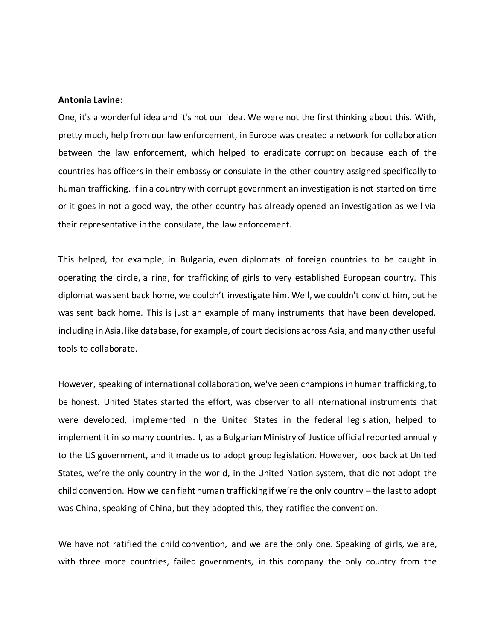#### **Antonia Lavine:**

One, it's a wonderful idea and it's not our idea. We were not the first thinking about this. With, pretty much, help from our law enforcement, in Europe was created a network for collaboration between the law enforcement, which helped to eradicate corruption because each of the countries has officers in their embassy or consulate in the other country assigned specifically to human trafficking. If in a country with corrupt government an investigation is not started on time or it goes in not a good way, the other country has already opened an investigation as well via their representative in the consulate, the law enforcement.

This helped, for example, in Bulgaria, even diplomats of foreign countries to be caught in operating the circle, a ring, for trafficking of girls to very established European country. This diplomat was sent back home, we couldn't investigate him. Well, we couldn't convict him, but he was sent back home. This is just an example of many instruments that have been developed, including in Asia, like database, for example, of court decisions across Asia, and many other useful tools to collaborate.

However, speaking of international collaboration, we've been champions in human trafficking, to be honest. United States started the effort, was observer to all international instruments that were developed, implemented in the United States in the federal legislation, helped to implement it in so many countries. I, as a Bulgarian Ministry of Justice official reported annually to the US government, and it made us to adopt group legislation. However, look back at United States, we're the only country in the world, in the United Nation system, that did not adopt the child convention. How we can fight human trafficking if we're the only country – the last to adopt was China, speaking of China, but they adopted this, they ratified the convention.

We have not ratified the child convention, and we are the only one. Speaking of girls, we are, with three more countries, failed governments, in this company the only country from the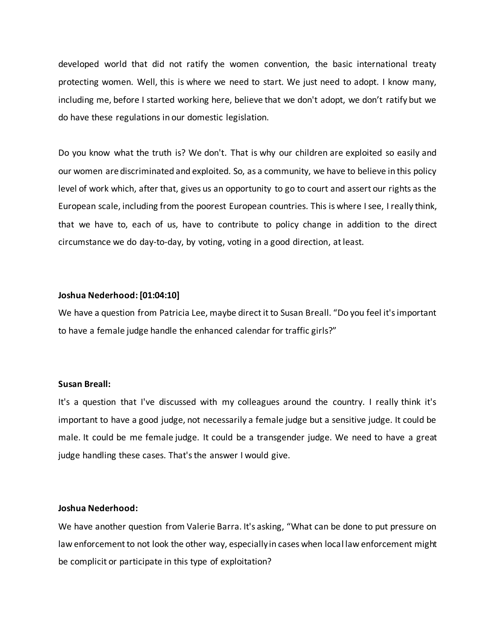developed world that did not ratify the women convention, the basic international treaty protecting women. Well, this is where we need to start. We just need to adopt. I know many, including me, before I started working here, believe that we don't adopt, we don't ratify but we do have these regulations in our domestic legislation.

Do you know what the truth is? We don't. That is why our children are exploited so easily and our women are discriminated and exploited. So, as a community, we have to believe in this policy level of work which, after that, gives us an opportunity to go to court and assert our rights as the European scale, including from the poorest European countries. This is where I see, I really think, that we have to, each of us, have to contribute to policy change in addition to the direct circumstance we do day-to-day, by voting, voting in a good direction, at least.

### **Joshua Nederhood:[01:04:10]**

We have a question from Patricia Lee, maybe direct it to Susan Breall. "Do you feel it's important to have a female judge handle the enhanced calendar for traffic girls?"

#### **Susan Breall:**

It's a question that I've discussed with my colleagues around the country. I really think it's important to have a good judge, not necessarily a female judge but a sensitive judge. It could be male. It could be me female judge. It could be a transgender judge. We need to have a great judge handling these cases. That's the answer I would give.

## **Joshua Nederhood:**

We have another question from Valerie Barra. It's asking, "What can be done to put pressure on law enforcement to not look the other way, especially in cases when local law enforcement might be complicit or participate in this type of exploitation?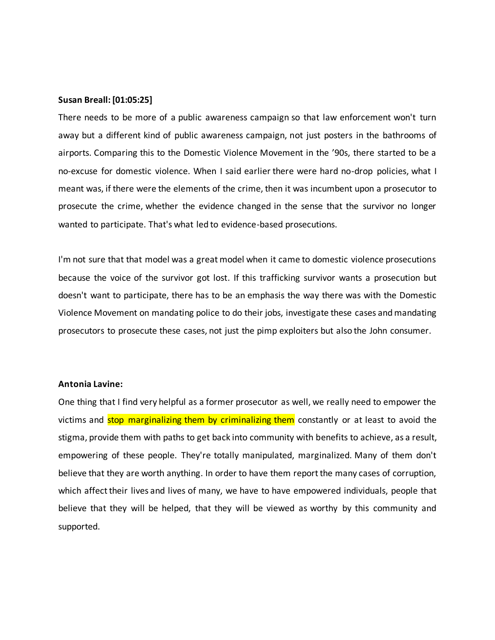#### **Susan Breall:[01:05:25]**

There needs to be more of a public awareness campaign so that law enforcement won't turn away but a different kind of public awareness campaign, not just posters in the bathrooms of airports. Comparing this to the Domestic Violence Movement in the '90s, there started to be a no-excuse for domestic violence. When I said earlier there were hard no-drop policies, what I meant was, if there were the elements of the crime, then it was incumbent upon a prosecutor to prosecute the crime, whether the evidence changed in the sense that the survivor no longer wanted to participate. That's what led to evidence-based prosecutions.

I'm not sure that that model was a great model when it came to domestic violence prosecutions because the voice of the survivor got lost. If this trafficking survivor wants a prosecution but doesn't want to participate, there has to be an emphasis the way there was with the Domestic Violence Movement on mandating police to do their jobs, investigate these cases and mandating prosecutors to prosecute these cases, not just the pimp exploiters but also the John consumer.

#### **Antonia Lavine:**

One thing that I find very helpful as a former prosecutor as well, we really need to empower the victims and stop marginalizing them by criminalizing them constantly or at least to avoid the stigma, provide them with paths to get back into community with benefits to achieve, as a result, empowering of these people. They're totally manipulated, marginalized. Many of them don't believe that they are worth anything. In order to have them report the many cases of corruption, which affect their lives and lives of many, we have to have empowered individuals, people that believe that they will be helped, that they will be viewed as worthy by this community and supported.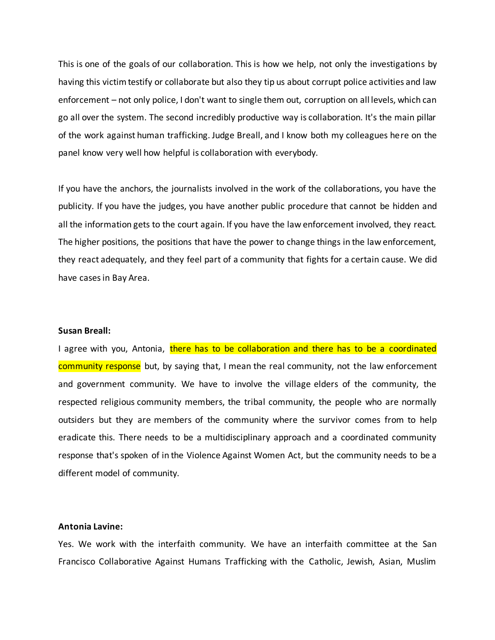This is one of the goals of our collaboration. This is how we help, not only the investigations by having this victim testify or collaborate but also they tip us about corrupt police activities and law enforcement – not only police, I don't want to single them out, corruption on all levels, which can go all over the system. The second incredibly productive way is collaboration. It's the main pillar of the work against human trafficking. Judge Breall, and I know both my colleagues here on the panel know very well how helpful is collaboration with everybody.

If you have the anchors, the journalists involved in the work of the collaborations, you have the publicity. If you have the judges, you have another public procedure that cannot be hidden and all the information gets to the court again. If you have the law enforcement involved, they react. The higher positions, the positions that have the power to change things in the law enforcement, they react adequately, and they feel part of a community that fights for a certain cause. We did have cases in Bay Area.

### **Susan Breall:**

I agree with you, Antonia, there has to be collaboration and there has to be a coordinated community response but, by saying that, I mean the real community, not the law enforcement and government community. We have to involve the village elders of the community, the respected religious community members, the tribal community, the people who are normally outsiders but they are members of the community where the survivor comes from to help eradicate this. There needs to be a multidisciplinary approach and a coordinated community response that's spoken of in the Violence Against Women Act, but the community needs to be a different model of community.

#### **Antonia Lavine:**

Yes. We work with the interfaith community. We have an interfaith committee at the San Francisco Collaborative Against Humans Trafficking with the Catholic, Jewish, Asian, Muslim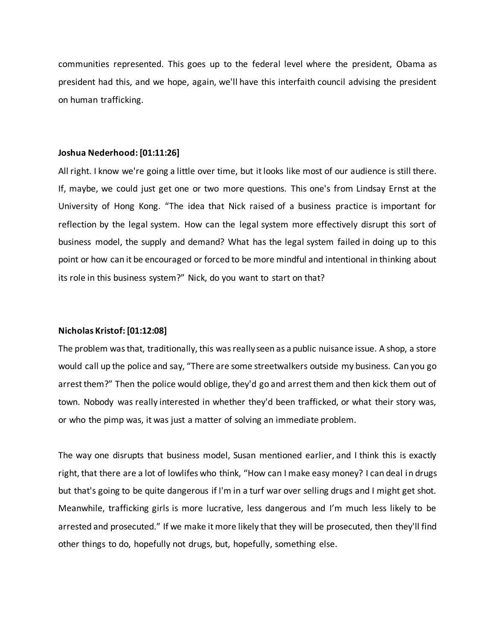communities represented. This goes up to the federal level where the president, Obama as president had this, and we hope, again, we'll have this interfaith council advising the president on human trafficking.

#### **Joshua Nederhood:[01:11:26]**

All right. I know we're going a little over time, but it looks like most of our audience is still there. If, maybe, we could just get one or two more questions. This one's from Lindsay Ernst at the University of Hong Kong. "The idea that Nick raised of a business practice is important for reflection by the legal system. How can the legal system more effectively disrupt this sort of business model, the supply and demand? What has the legal system failed in doing up to this point or how can it be encouraged or forced to be more mindful and intentional in thinking about its role in this business system?" Nick, do you want to start on that?

#### **Nicholas Kristof: [01:12:08]**

The problem was that, traditionally, this was really seen as a public nuisance issue. A shop, a store would call up the police and say, "There are some streetwalkers outside my business. Can you go arrest them?" Then the police would oblige, they'd go and arrest them and then kick them out of town. Nobody was really interested in whether they'd been trafficked, or what their story was, or who the pimp was, it was just a matter of solving an immediate problem.

The way one disrupts that business model, Susan mentioned earlier, and I think this is exactly right, that there are a lot of lowlifes who think, "How can I make easy money? I can deal in drugs but that's going to be quite dangerous if I'm in a turf war over selling drugs and I might get shot. Meanwhile, trafficking girls is more lucrative, less dangerous and I'm much less likely to be arrested and prosecuted." If we make it more likely that they will be prosecuted, then they'll find other things to do, hopefully not drugs, but, hopefully, something else.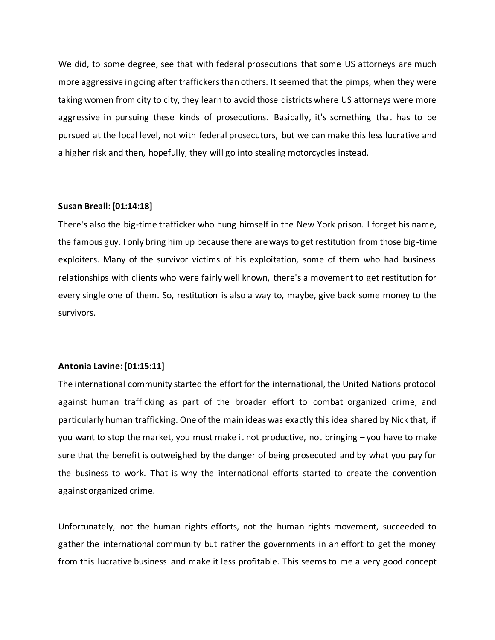We did, to some degree, see that with federal prosecutions that some US attorneys are much more aggressive in going after traffickers than others. It seemed that the pimps, when they were taking women from city to city, they learn to avoid those districts where US attorneys were more aggressive in pursuing these kinds of prosecutions. Basically, it's something that has to be pursued at the local level, not with federal prosecutors, but we can make this less lucrative and a higher risk and then, hopefully, they will go into stealing motorcycles instead.

### **Susan Breall:[01:14:18]**

There's also the big-time trafficker who hung himself in the New York prison. I forget his name, the famous guy. I only bring him up because there are ways to get restitution from those big-time exploiters. Many of the survivor victims of his exploitation, some of them who had business relationships with clients who were fairly well known, there's a movement to get restitution for every single one of them. So, restitution is also a way to, maybe, give back some money to the survivors.

#### **Antonia Lavine: [01:15:11]**

The international community started the effort for the international, the United Nations protocol against human trafficking as part of the broader effort to combat organized crime, and particularly human trafficking. One of the main ideas was exactly this idea shared by Nick that, if you want to stop the market, you must make it not productive, not bringing – you have to make sure that the benefit is outweighed by the danger of being prosecuted and by what you pay for the business to work. That is why the international efforts started to create the convention against organized crime.

Unfortunately, not the human rights efforts, not the human rights movement, succeeded to gather the international community but rather the governments in an effort to get the money from this lucrative business and make it less profitable. This seems to me a very good concept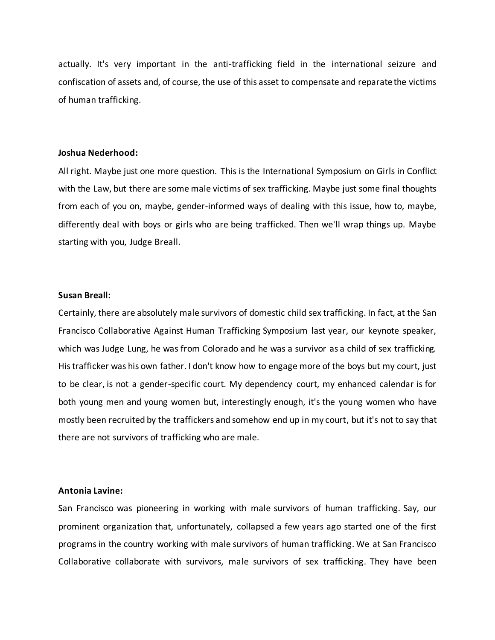actually. It's very important in the anti-trafficking field in the international seizure and confiscation of assets and, of course, the use of this asset to compensate and reparate the victims of human trafficking.

### **Joshua Nederhood:**

All right. Maybe just one more question. This is the International Symposium on Girls in Conflict with the Law, but there are some male victims of sex trafficking. Maybe just some final thoughts from each of you on, maybe, gender-informed ways of dealing with this issue, how to, maybe, differently deal with boys or girls who are being trafficked. Then we'll wrap things up. Maybe starting with you, Judge Breall.

### **Susan Breall:**

Certainly, there are absolutely male survivors of domestic child sex trafficking. In fact, at the San Francisco Collaborative Against Human Trafficking Symposium last year, our keynote speaker, which was Judge Lung, he was from Colorado and he was a survivor as a child of sex trafficking. His trafficker was his own father. I don't know how to engage more of the boys but my court, just to be clear, is not a gender-specific court. My dependency court, my enhanced calendar is for both young men and young women but, interestingly enough, it's the young women who have mostly been recruited by the traffickers and somehow end up in my court, but it's not to say that there are not survivors of trafficking who are male.

#### **Antonia Lavine:**

San Francisco was pioneering in working with male survivors of human trafficking. Say, our prominent organization that, unfortunately, collapsed a few years ago started one of the first programs in the country working with male survivors of human trafficking. We at San Francisco Collaborative collaborate with survivors, male survivors of sex trafficking. They have been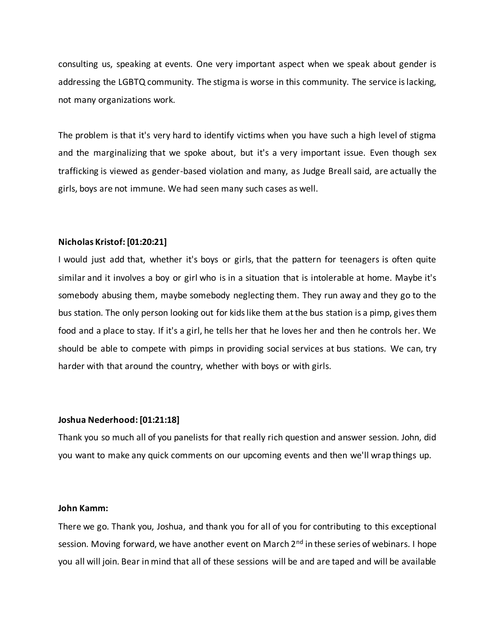consulting us, speaking at events. One very important aspect when we speak about gender is addressing the LGBTQ community. The stigma is worse in this community. The service is lacking, not many organizations work.

The problem is that it's very hard to identify victims when you have such a high level of stigma and the marginalizing that we spoke about, but it's a very important issue. Even though sex trafficking is viewed as gender-based violation and many, as Judge Breall said, are actually the girls, boys are not immune. We had seen many such cases as well.

### **Nicholas Kristof: [01:20:21]**

I would just add that, whether it's boys or girls, that the pattern for teenagers is often quite similar and it involves a boy or girl who is in a situation that is intolerable at home. Maybe it's somebody abusing them, maybe somebody neglecting them. They run away and they go to the bus station. The only person looking out for kids like them at the bus station is a pimp, gives them food and a place to stay. If it's a girl, he tells her that he loves her and then he controls her. We should be able to compete with pimps in providing social services at bus stations. We can, try harder with that around the country, whether with boys or with girls.

#### **Joshua Nederhood:[01:21:18]**

Thank you so much all of you panelists for that really rich question and answer session. John, did you want to make any quick comments on our upcoming events and then we'll wrap things up.

#### **John Kamm:**

There we go. Thank you, Joshua, and thank you for all of you for contributing to this exceptional session. Moving forward, we have another event on March 2<sup>nd</sup> in these series of webinars. I hope you all will join. Bear in mind that all of these sessions will be and are taped and will be available